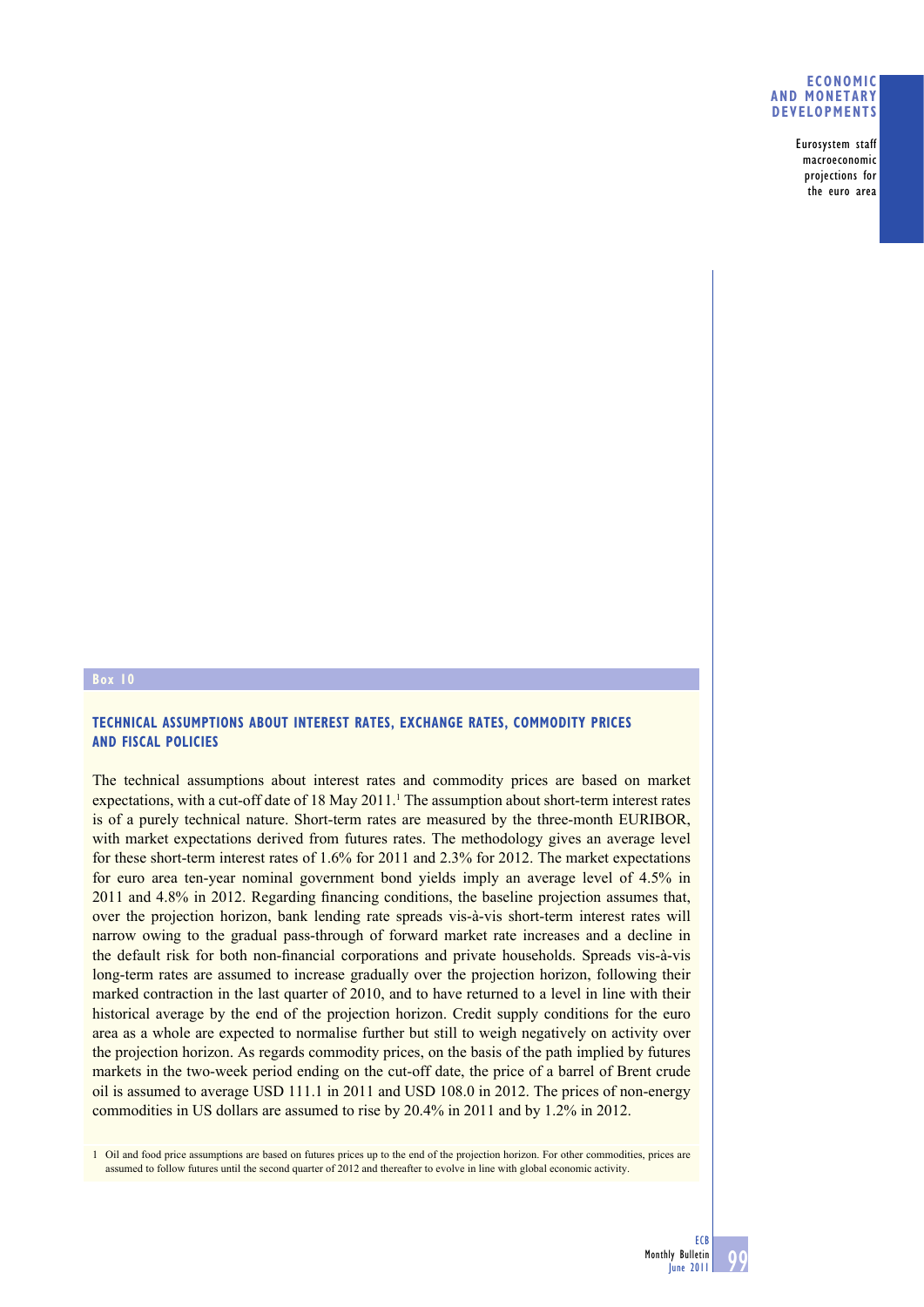## **ECONOMIC AND MONETARY DEVELOPMENTS**

Eurosystem staff macroeconomic projections for the euro area

## **Box 10**

## **TECHNICAL ASSUMPTIONS ABOUT INTEREST RATES, EXCHANGE RATES, COMMODITY PRICES AND FISCAL POLICIES**

The technical assumptions about interest rates and commodity prices are based on market expectations, with a cut-off date of 18 May 2011.<sup>1</sup> The assumption about short-term interest rates is of a purely technical nature. Short-term rates are measured by the three-month EURIBOR, with market expectations derived from futures rates. The methodology gives an average level for these short-term interest rates of 1.6% for 2011 and 2.3% for 2012. The market expectations for euro area ten-year nominal government bond yields imply an average level of 4.5% in  $2011$  and  $4.8\%$  in  $2012$ . Regarding financing conditions, the baseline projection assumes that, over the projection horizon, bank lending rate spreads vis-à-vis short-term interest rates will narrow owing to the gradual pass-through of forward market rate increases and a decline in the default risk for both non-financial corporations and private households. Spreads vis-à-vis long-term rates are assumed to increase gradually over the projection horizon, following their marked contraction in the last quarter of 2010, and to have returned to a level in line with their historical average by the end of the projection horizon. Credit supply conditions for the euro area as a whole are expected to normalise further but still to weigh negatively on activity over the projection horizon. As regards commodity prices, on the basis of the path implied by futures markets in the two-week period ending on the cut-off date, the price of a barrel of Brent crude oil is assumed to average USD 111.1 in 2011 and USD 108.0 in 2012. The prices of non-energy commodities in US dollars are assumed to rise by 20.4% in 2011 and by 1.2% in 2012.

1 Oil and food price assumptions are based on futures prices up to the end of the projection horizon. For other commodities, prices are assumed to follow futures until the second quarter of 2012 and thereafter to evolve in line with global economic activity.